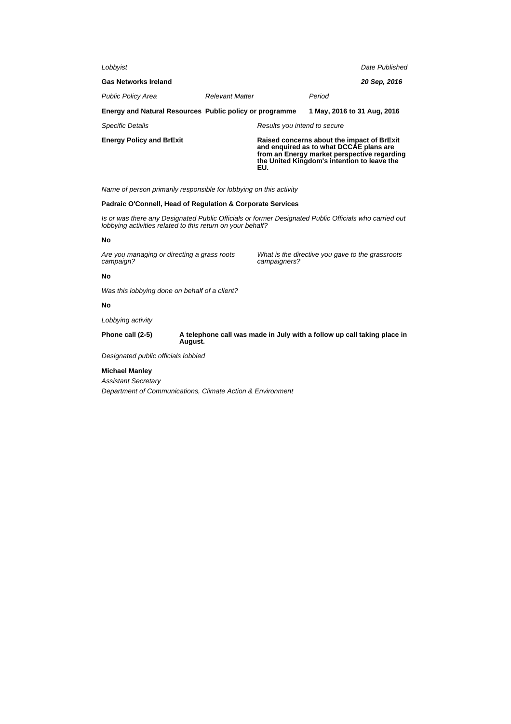| Lobbyist                                                |                        |                              |                                                                                                                                                                                     | Date Published |
|---------------------------------------------------------|------------------------|------------------------------|-------------------------------------------------------------------------------------------------------------------------------------------------------------------------------------|----------------|
| <b>Gas Networks Ireland</b>                             |                        |                              |                                                                                                                                                                                     | 20 Sep, 2016   |
| <b>Public Policy Area</b>                               | <b>Relevant Matter</b> |                              | Period                                                                                                                                                                              |                |
| Energy and Natural Resources Public policy or programme |                        |                              | 1 May, 2016 to 31 Aug, 2016                                                                                                                                                         |                |
| <b>Specific Details</b>                                 |                        | Results you intend to secure |                                                                                                                                                                                     |                |
| <b>Energy Policy and BrExit</b>                         |                        | EU.                          | Raised concerns about the impact of BrExit<br>and enquired as to what DCCAE plans are<br>from an Energy market perspective regarding<br>the United Kingdom's intention to leave the |                |

Name of person primarily responsible for lobbying on this activity

## **Padraic O'Connell, Head of Regulation & Corporate Services**

Is or was there any Designated Public Officials or former Designated Public Officials who carried out lobbying activities related to this return on your behalf?

# **No**

Are you managing or directing a grass roots campaign?

What is the directive you gave to the grassroots campaigners?

## **No**

Was this lobbying done on behalf of a client?

# **No**

Lobbying activity

**Phone call (2-5) A telephone call was made in July with a follow up call taking place in August.**

Designated public officials lobbied

# **Michael Manley**

Assistant Secretary

Department of Communications, Climate Action & Environment